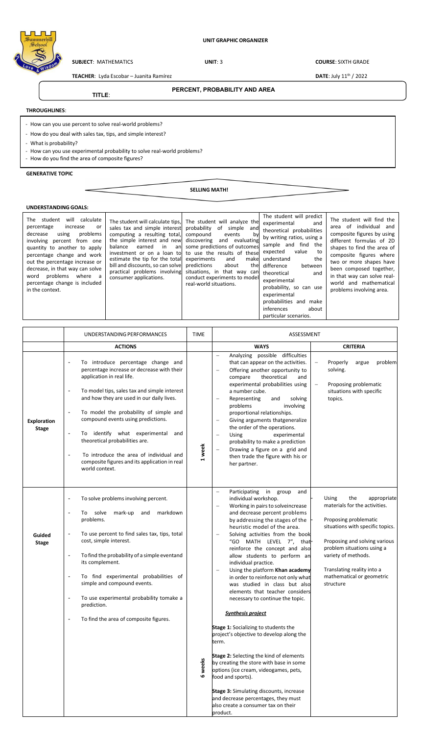## **UNIT GRAPHIC ORGANIZER**



**SUBJECT**: MATHEMATICS **UNIT**: 3 **COURSE**: SIXTH GRADE

**TEACHER**: Lyda Escobar – Juanita Ramírez **DATE: July 11th / 2022** 

**TITLE**:

# **PERCENT, PROBABILITY AND AREA**

**THROUGHLINES**:

- How can you use percent to solve real-world problems?

- How do you deal with sales tax, tips, and simple interest?
- What is probability?
- How can you use experimental probability to solve real-world problems?
- How do you find the area of composite figures?

### **GENERATIVE TOPIC**

**SELLING MATH!** 

## **UNDERSTANDING GOALS:**

The student will calculate percentage increase or decrease using problems involving percent from one quantity to another to apply percentage change and work out the percentage increase or decrease, in that way can solve word problems where a percentage change is included in the context.

The student will calculate tips sales tax and simple interest computing a resulting total, the simple interest and new balance earned in an investment or on a loan to estimate the tip for the total bill and discounts, so can solve practical problems involving consumer applications.

The student will analyze the probability of simple and compound events by discovering and evaluating some predictions of outcomes to use the results of these experiments and make<br>predictions about the predictions about the situations, in that way can conduct experiments to model real-world situations.



The student will find the area of individual and composite figures by using different formulas of 2D shapes to find the area of composite figures where two or more shapes have been composed together, in that way can solve realworld and mathematical problems involving area.

|                        | UNDERSTANDING PERFORMANCES                                                                                                                                                                                                        | <b>TIME</b> | ASSESSMENT                                                                                                                                                                                                            |                                                                     |
|------------------------|-----------------------------------------------------------------------------------------------------------------------------------------------------------------------------------------------------------------------------------|-------------|-----------------------------------------------------------------------------------------------------------------------------------------------------------------------------------------------------------------------|---------------------------------------------------------------------|
|                        | <b>ACTIONS</b>                                                                                                                                                                                                                    |             | <b>WAYS</b>                                                                                                                                                                                                           | <b>CRITERIA</b>                                                     |
|                        | To introduce percentage change and<br>percentage increase or decrease with their<br>application in real life.                                                                                                                     |             | Analyzing possible difficulties<br>$\equiv$<br>that can appear on the activities.<br>Offering another opportunity to<br>$\overline{\phantom{0}}$<br>compare<br>theoretical<br>and<br>experimental probabilities using | Properly<br>problem<br>argue<br>solving.<br>Proposing problematic   |
| <b>Exploration</b>     | To model tips, sales tax and simple interest<br>$\overline{\phantom{a}}$<br>and how they are used in our daily lives.<br>To model the probability of simple and<br>$\overline{\phantom{a}}$<br>compound events using predictions. |             | a number cube.<br>Representing<br>and<br>solving<br>problems<br>involving<br>proportional relationships.<br>Giving arguments thatgeneralize                                                                           | situations with specific<br>topics.                                 |
| <b>Stage</b>           | To identify what experimental<br>$\overline{\phantom{a}}$<br>and<br>theoretical probabilities are.<br>L,                                                                                                                          | 1 week      | the order of the operations.<br>$\overline{\phantom{m}}$<br><b>Using</b><br>experimental<br>probability to make a prediction<br>Drawing a figure on a grid and                                                        |                                                                     |
|                        | To introduce the area of individual and<br>composite figures and its application in real<br>world context.                                                                                                                        |             | then trade the figure with his or<br>her partner.                                                                                                                                                                     |                                                                     |
|                        | To solve problems involving percent.<br>$\overline{a}$<br>solve<br>markdown<br>To<br>mark-up<br>and<br>Ĭ.                                                                                                                         |             | Participating in group<br>and<br>individual workshop.<br>Working in pairs to solveincrease<br>and decrease percent problems                                                                                           | <b>Using</b><br>the<br>appropriate<br>materials for the activities. |
|                        | problems.<br>To use percent to find sales tax, tips, total<br>÷                                                                                                                                                                   |             | by addressing the stages of the<br>heuristic model of the area.                                                                                                                                                       | Proposing problematic<br>situations with specific topics.           |
| Guided<br><b>Stage</b> | cost, simple interest.                                                                                                                                                                                                            |             | Solving activities from the book<br>"GO MATH LEVEL 7", that-<br>reinforce the concept and also                                                                                                                        | Proposing and solving various<br>problem situations using a         |
|                        | To find the probability of a simple eventand<br>÷,<br>its complement.                                                                                                                                                             |             | allow students to perform an<br>individual practice.<br>Using the platform Khan academy                                                                                                                               | variety of methods.<br>Translating reality into a                   |
|                        | To find experimental probabilities of<br>$\overline{\phantom{a}}$<br>simple and compound events.                                                                                                                                  |             | in order to reinforce not only what<br>was studied in class but also<br>elements that teacher considers                                                                                                               | mathematical or geometric<br>structure                              |
|                        | To use experimental probability tomake a<br>$\overline{\phantom{a}}$<br>prediction.                                                                                                                                               |             | necessary to continue the topic.                                                                                                                                                                                      |                                                                     |
|                        | To find the area of composite figures.<br>$\overline{\phantom{a}}$                                                                                                                                                                |             | <b>Synthesis project</b><br><b>Stage 1:</b> Socializing to students the                                                                                                                                               |                                                                     |
|                        |                                                                                                                                                                                                                                   |             | project's objective to develop along the<br>term.                                                                                                                                                                     |                                                                     |
|                        |                                                                                                                                                                                                                                   | 6 weeks     | Stage 2: Selecting the kind of elements<br>by creating the store with base in some<br>options (ice cream, videogames, pets,<br>food and sports).                                                                      |                                                                     |
|                        |                                                                                                                                                                                                                                   |             | Stage 3: Simulating discounts, increase<br>and decrease percentages, they must<br>also create a consumer tax on their<br>product.                                                                                     |                                                                     |